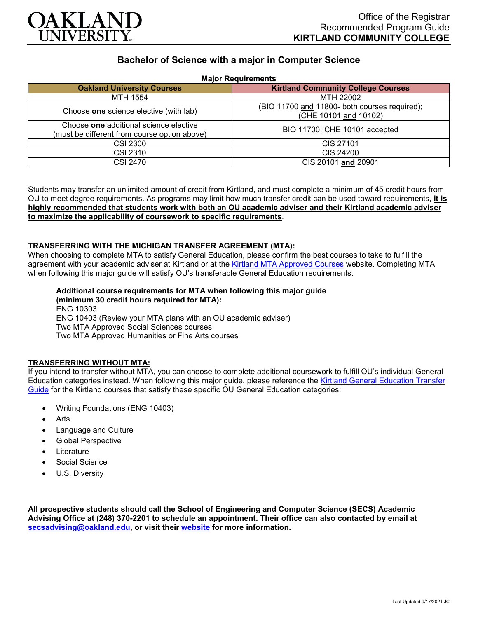

# **Bachelor of Science with a major in Computer Science**

**Major Requirements**

| <b>Malor Izedan emento</b>                                                             |                                                                        |
|----------------------------------------------------------------------------------------|------------------------------------------------------------------------|
| <b>Oakland University Courses</b>                                                      | <b>Kirtland Community College Courses</b>                              |
| MTH 1554                                                                               | MTH 22002                                                              |
| Choose one science elective (with lab)                                                 | (BIO 11700 and 11800- both courses required);<br>(CHE 10101 and 10102) |
| Choose one additional science elective<br>(must be different from course option above) | BIO 11700; CHE 10101 accepted                                          |
| <b>CSI 2300</b>                                                                        | CIS 27101                                                              |
| CSI 2310                                                                               | CIS 24200                                                              |
| CSI 2470                                                                               | CIS 20101 and 20901                                                    |

Students may transfer an unlimited amount of credit from Kirtland, and must complete a minimum of 45 credit hours from OU to meet degree requirements. As programs may limit how much transfer credit can be used toward requirements, **it is highly recommended that students work with both an OU academic adviser and their Kirtland academic adviser to maximize the applicability of coursework to specific requirements**.

#### **TRANSFERRING WITH THE MICHIGAN TRANSFER AGREEMENT (MTA):**

When choosing to complete MTA to satisfy General Education, please confirm the best courses to take to fulfill the agreement with your academic adviser at Kirtland or at the [Kirtland MTA Approved Courses](https://www.kirtland.edu/registrar/michigan-transfer-agreement) website. Completing MTA when following this major guide will satisfy OU's transferable General Education requirements.

## **Additional course requirements for MTA when following this major guide (minimum 30 credit hours required for MTA):**

ENG 10303 ENG 10403 (Review your MTA plans with an OU academic adviser) Two MTA Approved Social Sciences courses Two MTA Approved Humanities or Fine Arts courses

## **TRANSFERRING WITHOUT MTA:**

If you intend to transfer without MTA, you can choose to complete additional coursework to fulfill OU's individual General Education categories instead. When following this major guide, please reference the [Kirtland General Education Transfer](https://www.oakland.edu/Assets/Oakland/program-guides/kirtland-community-college/university-general-education-requirements/Kirtland%20Gen%20Ed.pdf)  [Guide](https://www.oakland.edu/Assets/Oakland/program-guides/kirtland-community-college/university-general-education-requirements/Kirtland%20Gen%20Ed.pdf) for the Kirtland courses that satisfy these specific OU General Education categories:

- Writing Foundations (ENG 10403)
- Arts
- Language and Culture
- Global Perspective
- **Literature**
- Social Science
- U.S. Diversity

**All prospective students should call the School of Engineering and Computer Science (SECS) Academic Advising Office at (248) 370-2201 to schedule an appointment. Their office can also contacted by email at [secsadvising@oakland.edu,](mailto:secsadvising@oakland.edu) or visit their [website](https://wwwp.oakland.edu/secs/advising/) for more information.**